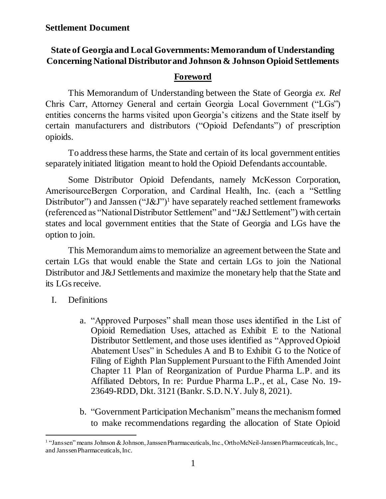# **State of Georgia and Local Governments: Memorandum of Understanding Concerning National Distributor and Johnson & Johnson Opioid Settlements**

## **Foreword**

This Memorandum of Understanding between the State of Georgia *ex. Rel* Chris Carr, Attorney General and certain Georgia Local Government ("LGs") entities concerns the harms visited upon Georgia's citizens and the State itself by certain manufacturers and distributors ("Opioid Defendants") of prescription opioids.

To address these harms, the State and certain of its local government entities separately initiated litigation meant to hold the Opioid Defendants accountable.

Some Distributor Opioid Defendants, namely McKesson Corporation, AmerisourceBergen Corporation, and Cardinal Health, Inc. (each a "Settling Distributor") and Janssen ("J&J")<sup>1</sup> have separately reached settlement frameworks (referenced as "National Distributor Settlement" and "J&J Settlement") with certain states and local government entities that the State of Georgia and LGs have the option to join.

This Memorandum aims to memorialize an agreement between the State and certain LGs that would enable the State and certain LGs to join the National Distributor and J&J Settlements and maximize the monetary help that the State and its LGs receive.

I. Definitions

l

- a. "Approved Purposes" shall mean those uses identified in the List of Opioid Remediation Uses, attached as Exhibit E to the National Distributor Settlement, and those uses identified as "Approved Opioid Abatement Uses" in Schedules A and B to Exhibit G to the Notice of Filing of Eighth Plan Supplement Pursuant to the Fifth Amended Joint Chapter 11 Plan of Reorganization of Purdue Pharma L.P. and its Affiliated Debtors, In re: Purdue Pharma L.P., et al., Case No. 19- 23649-RDD, Dkt. 3121 (Bankr. S.D. N.Y. July 8, 2021).
- b. "Government Participation Mechanism" means the mechanism formed to make recommendations regarding the allocation of State Opioid

<sup>&</sup>lt;sup>1</sup> "Janssen" means Johnson & Johnson, Janssen Pharmaceuticals, Inc., OrthoMcNeil-Janssen Pharmaceuticals, Inc., and Janssen Pharmaceuticals, Inc.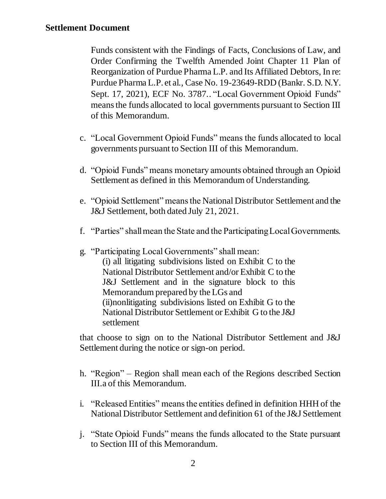Funds consistent with the Findings of Facts, Conclusions of Law, and Order Confirming the Twelfth Amended Joint Chapter 11 Plan of Reorganization of Purdue Pharma L.P. and Its Affiliated Debtors, In re: Purdue Pharma L.P. et al., Case No. 19-23649-RDD (Bankr. S.D. N.Y. Sept. 17, 2021), ECF No. 3787.. "Local Government Opioid Funds" means the funds allocated to local governments pursuant to Section III of this Memorandum.

- c. "Local Government Opioid Funds" means the funds allocated to local governments pursuant to Section III of this Memorandum.
- d. "Opioid Funds" means monetary amounts obtained through an Opioid Settlement as defined in this Memorandum of Understanding.
- e. "Opioid Settlement" means the National Distributor Settlement and the J&J Settlement, both dated July 21, 2021.
- f. "Parties" shall mean the State and the Participating Local Governments.
- g. "Participating Local Governments" shall mean: (i) all litigating subdivisions listed on Exhibit C to the National Distributor Settlement and/or Exhibit C to the J&J Settlement and in the signature block to this Memorandum prepared by the LGs and (ii)nonlitigating subdivisions listed on Exhibit G to the National Distributor Settlement or Exhibit G to the J&J settlement

that choose to sign on to the National Distributor Settlement and J&J Settlement during the notice or sign-on period.

- h. "Region" Region shall mean each of the Regions described Section III.a of this Memorandum.
- i. "Released Entities" means the entities defined in definition HHH of the National Distributor Settlement and definition 61 of the J&J Settlement
- j. "State Opioid Funds" means the funds allocated to the State pursuant to Section III of this Memorandum.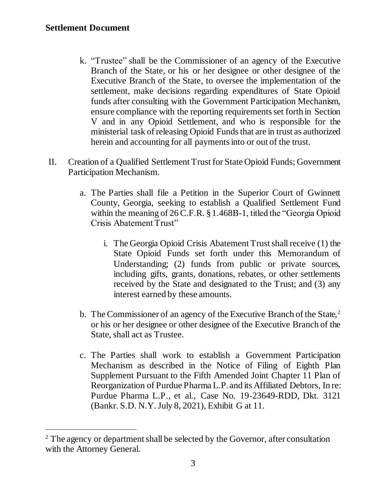I

- k. "Trustee" shall be the Commissioner of an agency of the Executive Branch of the State, or his or her designee or other designee of the Executive Branch of the State, to oversee the implementation of the settlement, make decisions regarding expenditures of State Opioid funds after consulting with the Government Participation Mechanism, ensure compliance with the reporting requirements set forth in Section V and in any Opioid Settlement, and who is responsible for the ministerial task of releasing Opioid Funds that are in trust as authorized herein and accounting for all payments into or out of the trust.
- II. Creation of a Qualified Settlement Trust for State Opioid Funds; Government Participation Mechanism.
	- a. The Parties shall file a Petition in the Superior Court of Gwinnett County, Georgia, seeking to establish a Qualified Settlement Fund within the meaning of 26 C.F.R. § 1.468B-1, titled the "Georgia Opioid Crisis Abatement Trust"
		- i. The Georgia Opioid Crisis Abatement Trust shall receive (1) the State Opioid Funds set forth under this Memorandum of Understanding; (2) funds from public or private sources, including gifts, grants, donations, rebates, or other settlements received by the State and designated to the Trust; and (3) any interest earned by these amounts.
	- b. The Commissioner of an agency of the Executive Branch of the State,<sup>2</sup> or his or her designee or other designee of the Executive Branch of the State, shall act as Trustee.
	- c. The Parties shall work to establish a Government Participation Mechanism as described in the Notice of Filing of Eighth Plan Supplement Pursuant to the Fifth Amended Joint Chapter 11 Plan of Reorganization of Purdue Pharma L.P. and its Affiliated Debtors, In re: Purdue Pharma L.P., et al., Case No. 19-23649-RDD, Dkt. 3121 (Bankr. S.D. N.Y. July 8, 2021), Exhibit G at 11.

<sup>&</sup>lt;sup>2</sup> The agency or department shall be selected by the Governor, after consultation with the Attorney General.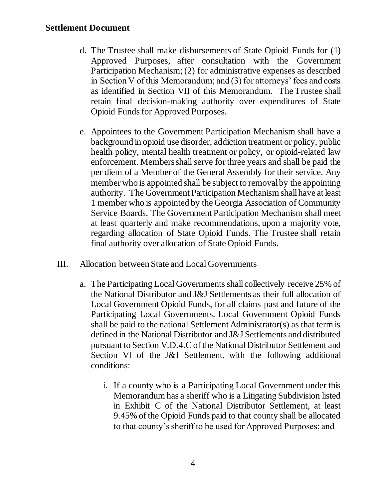- d. The Trustee shall make disbursements of State Opioid Funds for (1) Approved Purposes, after consultation with the Government Participation Mechanism; (2) for administrative expenses as described in Section V of this Memorandum; and (3) for attorneys' fees and costs as identified in Section VII of this Memorandum. The Trustee shall retain final decision-making authority over expenditures of State Opioid Funds for Approved Purposes.
- e. Appointees to the Government Participation Mechanism shall have a background in opioid use disorder, addiction treatment or policy, public health policy, mental health treatment or policy, or opioid-related law enforcement. Members shall serve for three years and shall be paid the per diem of a Member of the General Assembly for their service. Any member who is appointed shall be subject to removal by the appointing authority. The Government Participation Mechanism shall have at least 1 member who is appointed by the Georgia Association of Community Service Boards. The Government Participation Mechanism shall meet at least quarterly and make recommendations, upon a majority vote, regarding allocation of State Opioid Funds. The Trustee shall retain final authority over allocation of State Opioid Funds.
- III. Allocation between State and Local Governments
	- a. The Participating Local Governments shall collectively receive 25% of the National Distributor and J&J Settlements as their full allocation of Local Government Opioid Funds, for all claims past and future of the Participating Local Governments. Local Government Opioid Funds shall be paid to the national Settlement Administrator(s) as that term is defined in the National Distributor and J&J Settlements and distributed pursuant to Section V.D.4.C of the National Distributor Settlement and Section VI of the J&J Settlement, with the following additional conditions:
		- i. If a county who is a Participating Local Government under this Memorandum has a sheriff who is a Litigating Subdivision listed in Exhibit C of the National Distributor Settlement, at least 9.45% of the Opioid Funds paid to that county shall be allocated to that county's sheriff to be used for Approved Purposes; and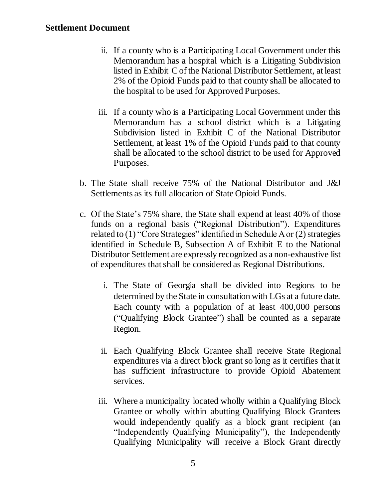- ii. If a county who is a Participating Local Government under this Memorandum has a hospital which is a Litigating Subdivision listed in Exhibit C of the National Distributor Settlement, at least 2% of the Opioid Funds paid to that county shall be allocated to the hospital to be used for Approved Purposes.
- iii. If a county who is a Participating Local Government under this Memorandum has a school district which is a Litigating Subdivision listed in Exhibit C of the National Distributor Settlement, at least 1% of the Opioid Funds paid to that county shall be allocated to the school district to be used for Approved Purposes.
- b. The State shall receive 75% of the National Distributor and J&J Settlements as its full allocation of State Opioid Funds.
- c. Of the State's 75% share, the State shall expend at least 40% of those funds on a regional basis ("Regional Distribution"). Expenditures related to (1) "Core Strategies" identified in Schedule A or (2) strategies identified in Schedule B, Subsection A of Exhibit E to the National Distributor Settlement are expressly recognized as a non-exhaustive list of expenditures that shall be considered as Regional Distributions.
	- i. The State of Georgia shall be divided into Regions to be determined by the State in consultation with LGs at a future date. Each county with a population of at least 400,000 persons ("Qualifying Block Grantee") shall be counted as a separate Region.
	- ii. Each Qualifying Block Grantee shall receive State Regional expenditures via a direct block grant so long as it certifies that it has sufficient infrastructure to provide Opioid Abatement services.
	- iii. Where a municipality located wholly within a Qualifying Block Grantee or wholly within abutting Qualifying Block Grantees would independently qualify as a block grant recipient (an "Independently Qualifying Municipality"), the Independently Qualifying Municipality will receive a Block Grant directly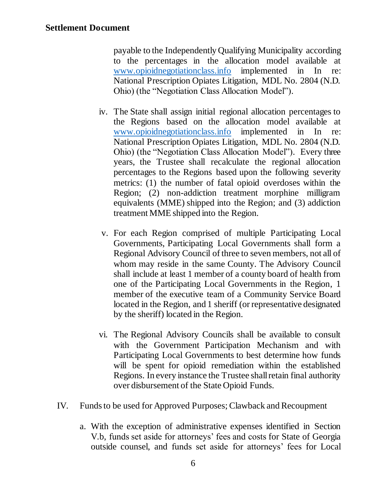payable to the Independently Qualifying Municipality according to the percentages in the allocation model available at [www.opioidnegotiationclass.info](http://www.opioidnegotiationclass.info/) implemented in In re: National Prescription Opiates Litigation, MDL No. 2804 (N.D. Ohio) (the "Negotiation Class Allocation Model").

- iv. The State shall assign initial regional allocation percentages to the Regions based on the allocation model available at [www.opioidnegotiationclass.info](http://www.opioidnegotiationclass.info/) implemented in In re: National Prescription Opiates Litigation, MDL No. 2804 (N.D. Ohio) (the "Negotiation Class Allocation Model"). Every three years, the Trustee shall recalculate the regional allocation percentages to the Regions based upon the following severity metrics: (1) the number of fatal opioid overdoses within the Region; (2) non-addiction treatment morphine milligram equivalents (MME) shipped into the Region; and (3) addiction treatment MME shipped into the Region.
- v. For each Region comprised of multiple Participating Local Governments, Participating Local Governments shall form a Regional Advisory Council of three to seven members, not all of whom may reside in the same County. The Advisory Council shall include at least 1 member of a county board of health from one of the Participating Local Governments in the Region, 1 member of the executive team of a Community Service Board located in the Region, and 1 sheriff (or representative designated by the sheriff) located in the Region.
- vi. The Regional Advisory Councils shall be available to consult with the Government Participation Mechanism and with Participating Local Governments to best determine how funds will be spent for opioid remediation within the established Regions. In every instance the Trustee shall retain final authority over disbursement of the State Opioid Funds.
- IV. Funds to be used for Approved Purposes; Clawback and Recoupment
	- a. With the exception of administrative expenses identified in Section V.b, funds set aside for attorneys' fees and costs for State of Georgia outside counsel, and funds set aside for attorneys' fees for Local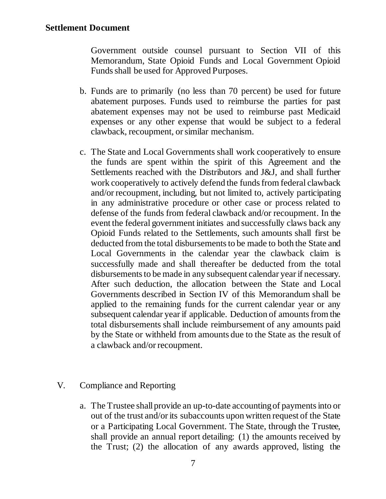Government outside counsel pursuant to Section VII of this Memorandum, State Opioid Funds and Local Government Opioid Funds shall be used for Approved Purposes.

- b. Funds are to primarily (no less than 70 percent) be used for future abatement purposes. Funds used to reimburse the parties for past abatement expenses may not be used to reimburse past Medicaid expenses or any other expense that would be subject to a federal clawback, recoupment, or similar mechanism.
- c. The State and Local Governments shall work cooperatively to ensure the funds are spent within the spirit of this Agreement and the Settlements reached with the Distributors and J&J, and shall further work cooperatively to actively defend the funds from federal clawback and/or recoupment, including, but not limited to, actively participating in any administrative procedure or other case or process related to defense of the funds from federal clawback and/or recoupment. In the event the federal government initiates and successfully claws back any Opioid Funds related to the Settlements, such amounts shall first be deducted from the total disbursements to be made to both the State and Local Governments in the calendar year the clawback claim is successfully made and shall thereafter be deducted from the total disbursements to be made in any subsequent calendar year if necessary. After such deduction, the allocation between the State and Local Governments described in Section IV of this Memorandum shall be applied to the remaining funds for the current calendar year or any subsequent calendar year if applicable. Deduction of amounts from the total disbursements shall include reimbursement of any amounts paid by the State or withheld from amounts due to the State as the result of a clawback and/or recoupment.
- V. Compliance and Reporting
	- a. The Trustee shall provide an up-to-date accounting of payments into or out of the trust and/or its subaccounts upon written request of the State or a Participating Local Government. The State, through the Trustee, shall provide an annual report detailing: (1) the amounts received by the Trust; (2) the allocation of any awards approved, listing the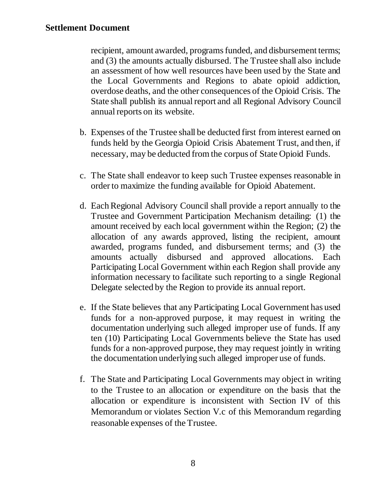recipient, amount awarded, programs funded, and disbursement terms; and (3) the amounts actually disbursed. The Trustee shall also include an assessment of how well resources have been used by the State and the Local Governments and Regions to abate opioid addiction, overdose deaths, and the other consequences of the Opioid Crisis. The State shall publish its annual report and all Regional Advisory Council annual reports on its website.

- b. Expenses of the Trustee shall be deducted first from interest earned on funds held by the Georgia Opioid Crisis Abatement Trust, and then, if necessary, may be deducted from the corpus of State Opioid Funds.
- c. The State shall endeavor to keep such Trustee expenses reasonable in order to maximize the funding available for Opioid Abatement.
- d. Each Regional Advisory Council shall provide a report annually to the Trustee and Government Participation Mechanism detailing: (1) the amount received by each local government within the Region; (2) the allocation of any awards approved, listing the recipient, amount awarded, programs funded, and disbursement terms; and (3) the amounts actually disbursed and approved allocations. Each Participating Local Government within each Region shall provide any information necessary to facilitate such reporting to a single Regional Delegate selected by the Region to provide its annual report.
- e. If the State believes that any Participating Local Government has used funds for a non-approved purpose, it may request in writing the documentation underlying such alleged improper use of funds. If any ten (10) Participating Local Governments believe the State has used funds for a non-approved purpose, they may request jointly in writing the documentation underlying such alleged improper use of funds.
- f. The State and Participating Local Governments may object in writing to the Trustee to an allocation or expenditure on the basis that the allocation or expenditure is inconsistent with Section IV of this Memorandum or violates Section V.c of this Memorandum regarding reasonable expenses of the Trustee.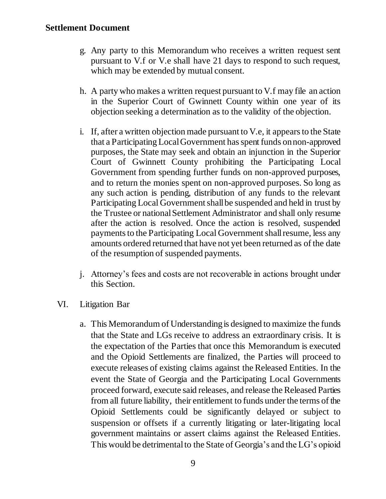- g. Any party to this Memorandum who receives a written request sent pursuant to V.f or V.e shall have 21 days to respond to such request, which may be extended by mutual consent.
- h. A party who makes a written request pursuant to V.f may file an action in the Superior Court of Gwinnett County within one year of its objection seeking a determination as to the validity of the objection.
- i. If, after a written objection made pursuant to V.e, it appears to the State that a Participating Local Government has spent funds on non-approved purposes, the State may seek and obtain an injunction in the Superior Court of Gwinnett County prohibiting the Participating Local Government from spending further funds on non-approved purposes, and to return the monies spent on non-approved purposes. So long as any such action is pending, distribution of any funds to the relevant Participating Local Government shall be suspended and held in trust by the Trustee or national Settlement Administrator and shall only resume after the action is resolved. Once the action is resolved, suspended payments to the Participating Local Government shall resume, less any amounts ordered returned that have not yet been returned as of the date of the resumption of suspended payments.
- j. Attorney's fees and costs are not recoverable in actions brought under this Section.
- VI. Litigation Bar
	- a. This Memorandum of Understanding is designed to maximize the funds that the State and LGs receive to address an extraordinary crisis. It is the expectation of the Parties that once this Memorandum is executed and the Opioid Settlements are finalized, the Parties will proceed to execute releases of existing claims against the Released Entities. In the event the State of Georgia and the Participating Local Governments proceed forward, execute said releases, and release the Released Parties from all future liability, their entitlement to funds under the terms of the Opioid Settlements could be significantly delayed or subject to suspension or offsets if a currently litigating or later-litigating local government maintains or assert claims against the Released Entities. This would be detrimental to the State of Georgia's and the LG's opioid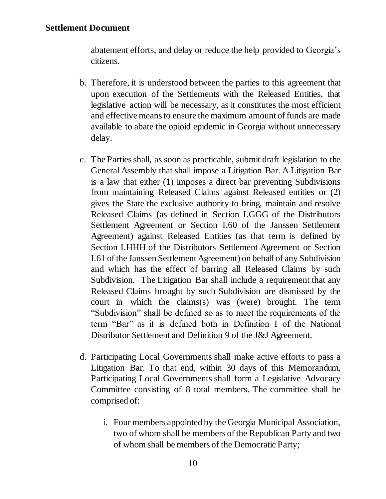abatement efforts, and delay or reduce the help provided to Georgia's citizens.

- b. Therefore, it is understood between the parties to this agreement that upon execution of the Settlements with the Released Entities, that legislative action will be necessary, as it constitutes the most efficient and effective means to ensure the maximum amount of funds are made available to abate the opioid epidemic in Georgia without unnecessary delay.
- c. The Parties shall, as soon as practicable, submit draft legislation to the General Assembly that shall impose a Litigation Bar. A Litigation Bar is a law that either (1) imposes a direct bar preventing Subdivisions from maintaining Released Claims against Released entities or (2) gives the State the exclusive authority to bring, maintain and resolve Released Claims (as defined in Section I.GGG of the Distributors Settlement Agreement or Section I.60 of the Janssen Settlement Agreement) against Released Entities (as that term is defined by Section I.HHH of the Distributors Settlement Agreement or Section I.61 of the Janssen Settlement Agreement) on behalf of any Subdivision and which has the effect of barring all Released Claims by such Subdivision. The Litigation Bar shall include a requirement that any Released Claims brought by such Subdivision are dismissed by the court in which the claims(s) was (were) brought. The term "Subdivision" shall be defined so as to meet the requirements of the term "Bar" as it is defined both in Definition I of the National Distributor Settlement and Definition 9 of the J&J Agreement.
- d. Participating Local Governments shall make active efforts to pass a Litigation Bar. To that end, within 30 days of this Memorandum, Participating Local Governments shall form a Legislative Advocacy Committee consisting of 8 total members. The committee shall be comprised of:
	- i. Four members appointed by the Georgia Municipal Association, two of whom shall be members of the Republican Party and two of whom shall be members of the Democratic Party;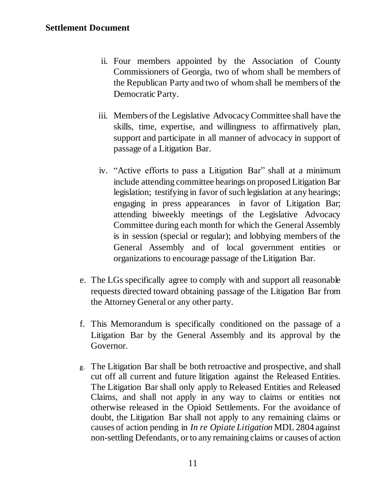- ii. Four members appointed by the Association of County Commissioners of Georgia, two of whom shall be members of the Republican Party and two of whom shall be members of the Democratic Party.
- iii. Members of the Legislative Advocacy Committee shall have the skills, time, expertise, and willingness to affirmatively plan, support and participate in all manner of advocacy in support of passage of a Litigation Bar.
- iv. "Active efforts to pass a Litigation Bar" shall at a minimum include attending committee hearings on proposed Litigation Bar legislation; testifying in favor of such legislation at any hearings; engaging in press appearances in favor of Litigation Bar; attending biweekly meetings of the Legislative Advocacy Committee during each month for which the General Assembly is in session (special or regular); and lobbying members of the General Assembly and of local government entities or organizations to encourage passage of the Litigation Bar.
- e. The LGs specifically agree to comply with and support all reasonable requests directed toward obtaining passage of the Litigation Bar from the Attorney General or any other party.
- f. This Memorandum is specifically conditioned on the passage of a Litigation Bar by the General Assembly and its approval by the Governor.
- g. The Litigation Bar shall be both retroactive and prospective, and shall cut off all current and future litigation against the Released Entities. The Litigation Bar shall only apply to Released Entities and Released Claims, and shall not apply in any way to claims or entities not otherwise released in the Opioid Settlements. For the avoidance of doubt, the Litigation Bar shall not apply to any remaining claims or causes of action pending in *In re Opiate Litigation* MDL 2804 against non-settling Defendants, or to any remaining claims or causes of action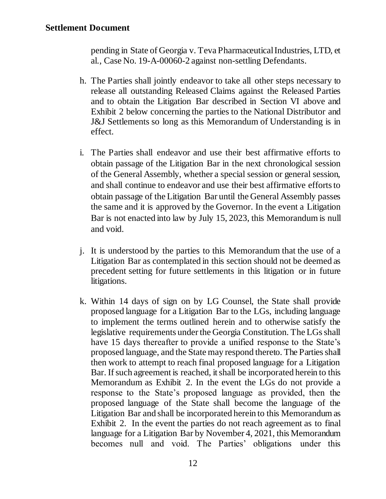pending in State of Georgia v. Teva Pharmaceutical Industries, LTD, et al., Case No. 19-A-00060-2 against non-settling Defendants.

- h. The Parties shall jointly endeavor to take all other steps necessary to release all outstanding Released Claims against the Released Parties and to obtain the Litigation Bar described in Section VI above and Exhibit 2 below concerning the parties to the National Distributor and J&J Settlements so long as this Memorandum of Understanding is in effect.
- i. The Parties shall endeavor and use their best affirmative efforts to obtain passage of the Litigation Bar in the next chronological session of the General Assembly, whether a special session or general session, and shall continue to endeavor and use their best affirmative efforts to obtain passage of the Litigation Bar until the General Assembly passes the same and it is approved by the Governor. In the event a Litigation Bar is not enacted into law by July 15, 2023, this Memorandum is null and void.
- j. It is understood by the parties to this Memorandum that the use of a Litigation Bar as contemplated in this section should not be deemed as precedent setting for future settlements in this litigation or in future litigations.
- k. Within 14 days of sign on by LG Counsel, the State shall provide proposed language for a Litigation Bar to the LGs, including language to implement the terms outlined herein and to otherwise satisfy the legislative requirements under the Georgia Constitution. The LGs shall have 15 days thereafter to provide a unified response to the State's proposed language, and the State may respond thereto. The Parties shall then work to attempt to reach final proposed language for a Litigation Bar. If such agreement is reached, it shall be incorporated herein to this Memorandum as Exhibit 2. In the event the LGs do not provide a response to the State's proposed language as provided, then the proposed language of the State shall become the language of the Litigation Bar and shall be incorporated herein to this Memorandum as Exhibit 2. In the event the parties do not reach agreement as to final language for a Litigation Bar by November 4, 2021, this Memorandum becomes null and void. The Parties' obligations under this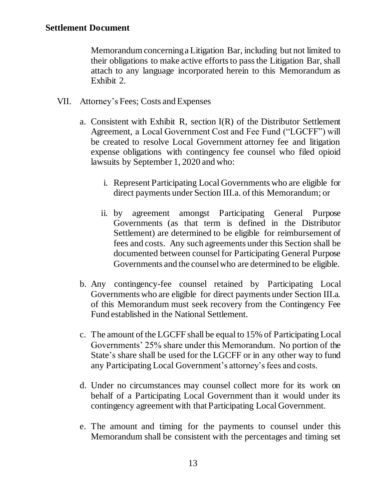Memorandum concerning a Litigation Bar, including but not limited to their obligations to make active efforts to pass the Litigation Bar, shall attach to any language incorporated herein to this Memorandum as Exhibit 2.

- VII. Attorney's Fees; Costs and Expenses
	- a. Consistent with Exhibit R, section I(R) of the Distributor Settlement Agreement, a Local Government Cost and Fee Fund ("LGCFF") will be created to resolve Local Government attorney fee and litigation expense obligations with contingency fee counsel who filed opioid lawsuits by September 1, 2020 and who:
		- i. Represent Participating Local Governments who are eligible for direct payments under Section III.a. of this Memorandum; or
		- ii. by agreement amongst Participating General Purpose Governments (as that term is defined in the Distributor Settlement) are determined to be eligible for reimbursement of fees and costs. Any such agreements under this Section shall be documented between counsel for Participating General Purpose Governments and the counsel who are determined to be eligible.
	- b. Any contingency-fee counsel retained by Participating Local Governments who are eligible for direct payments under Section III.a. of this Memorandum must seek recovery from the Contingency Fee Fund established in the National Settlement.
	- c. The amount of the LGCFF shall be equal to 15% of Participating Local Governments' 25% share under this Memorandum. No portion of the State's share shall be used for the LGCFF or in any other way to fund any Participating Local Government's attorney's fees and costs.
	- d. Under no circumstances may counsel collect more for its work on behalf of a Participating Local Government than it would under its contingency agreement with that Participating Local Government.
	- e. The amount and timing for the payments to counsel under this Memorandum shall be consistent with the percentages and timing set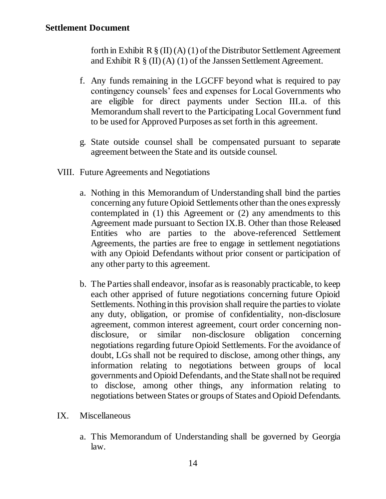forth in Exhibit R  $\S$  (II) (A) (1) of the Distributor Settlement Agreement and Exhibit R  $\S$  (II) (A) (1) of the Janssen Settlement Agreement.

- f. Any funds remaining in the LGCFF beyond what is required to pay contingency counsels' fees and expenses for Local Governments who are eligible for direct payments under Section III.a. of this Memorandum shall revert to the Participating Local Government fund to be used for Approved Purposes as set forth in this agreement.
- g. State outside counsel shall be compensated pursuant to separate agreement between the State and its outside counsel.
- VIII. Future Agreements and Negotiations
	- a. Nothing in this Memorandum of Understanding shall bind the parties concerning any future Opioid Settlements other than the ones expressly contemplated in (1) this Agreement or (2) any amendments to this Agreement made pursuant to Section IX.B. Other than those Released Entities who are parties to the above-referenced Settlement Agreements, the parties are free to engage in settlement negotiations with any Opioid Defendants without prior consent or participation of any other party to this agreement.
	- b. The Parties shall endeavor, insofar as is reasonably practicable, to keep each other apprised of future negotiations concerning future Opioid Settlements. Nothing in this provision shall require the parties to violate any duty, obligation, or promise of confidentiality, non-disclosure agreement, common interest agreement, court order concerning nondisclosure, or similar non-disclosure obligation concerning negotiations regarding future Opioid Settlements. For the avoidance of doubt, LGs shall not be required to disclose, among other things, any information relating to negotiations between groups of local governments and Opioid Defendants, and the State shall not be required to disclose, among other things, any information relating to negotiations between States or groups of States and Opioid Defendants.
- IX. Miscellaneous
	- a. This Memorandum of Understanding shall be governed by Georgia law.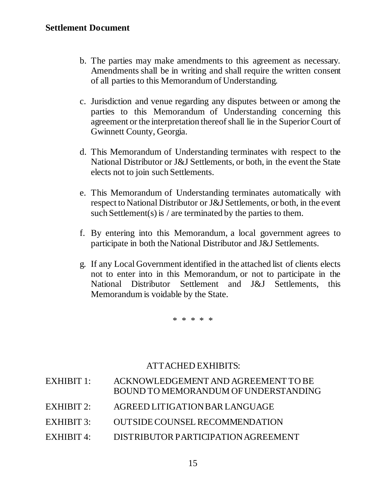- b. The parties may make amendments to this agreement as necessary. Amendments shall be in writing and shall require the written consent of all parties to this Memorandum of Understanding.
- c. Jurisdiction and venue regarding any disputes between or among the parties to this Memorandum of Understanding concerning this agreement or the interpretation thereof shall lie in the Superior Court of Gwinnett County, Georgia.
- d. This Memorandum of Understanding terminates with respect to the National Distributor or J&J Settlements, or both, in the event the State elects not to join such Settlements.
- e. This Memorandum of Understanding terminates automatically with respect to National Distributor or J&J Settlements, or both, in the event such Settlement(s) is / are terminated by the parties to them.
- f. By entering into this Memorandum, a local government agrees to participate in both the National Distributor and J&J Settlements.
- g. If any Local Government identified in the attached list of clients elects not to enter into in this Memorandum, or not to participate in the National Distributor Settlement and J&J Settlements, this Memorandum is voidable by the State.

\* \* \* \* \*

### ATTACHED EXHIBITS:

- EXHIBIT 1: ACKNOWLEDGEMENT AND AGREEMENT TO BE BOUND TO MEMORANDUM OF UNDERSTANDING
- EXHIBIT 2: AGREED LITIGATION BAR LANGUAGE
- EXHIBIT 3: OUTSIDE COUNSEL RECOMMENDATION
- EXHIBIT 4: DISTRIBUTOR PARTICIPATION AGREEMENT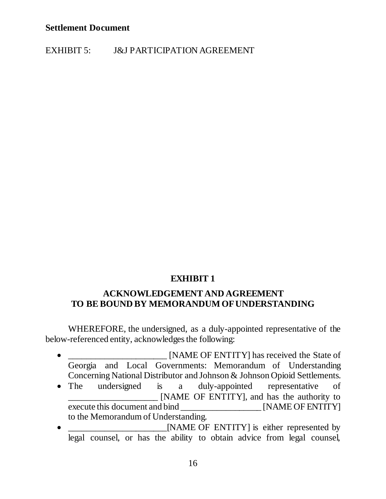EXHIBIT 5: J&J PARTICIPATION AGREEMENT

# **EXHIBIT 1**

### **ACKNOWLEDGEMENT AND AGREEMENT TO BE BOUND BY MEMORANDUM OF UNDERSTANDING**

WHEREFORE, the undersigned, as a duly-appointed representative of the below-referenced entity, acknowledges the following:

- \_\_\_\_\_\_\_\_\_\_\_\_\_\_\_\_\_\_\_\_\_\_ [NAME OF ENTITY] has received the State of Georgia and Local Governments: Memorandum of Understanding Concerning National Distributor and Johnson & Johnson Opioid Settlements.
- The undersigned is a duly-appointed representative of \_\_\_\_\_\_\_\_\_\_\_\_\_\_\_\_\_\_\_\_ [NAME OF ENTITY], and has the authority to execute this document and bind [NAME OF ENTITY] to the Memorandum of Understanding.
- $\Box$  [NAME OF ENTITY] is either represented by legal counsel, or has the ability to obtain advice from legal counsel,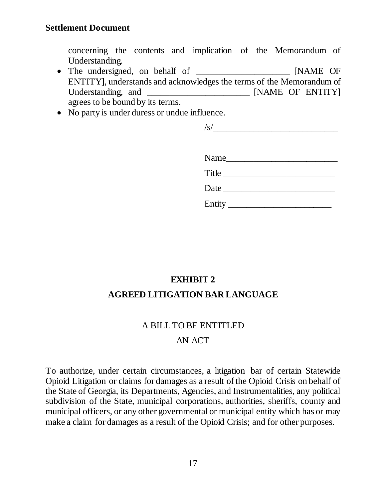concerning the contents and implication of the Memorandum of Understanding.

- The undersigned, on behalf of \_\_\_\_\_\_\_\_\_\_\_\_\_\_\_\_\_\_\_\_\_\_\_\_\_ [NAME OF ENTITY], understands and acknowledges the terms of the Memorandum of Understanding, and \_\_\_\_\_\_\_\_\_\_\_\_\_\_\_\_\_\_\_\_\_\_\_ [NAME OF ENTITY] agrees to be bound by its terms.
- No party is under duress or undue influence.

 $\sqrt{s}$ /

| Name          |  |  |
|---------------|--|--|
| Title         |  |  |
| Date          |  |  |
| <b>Entity</b> |  |  |

# **EXHIBIT 2 AGREED LITIGATION BAR LANGUAGE**

### A BILL TO BE ENTITLED

### AN ACT

To authorize, under certain circumstances, a litigation bar of certain Statewide Opioid Litigation or claims for damages as a result of the Opioid Crisis on behalf of the State of Georgia, its Departments, Agencies, and Instrumentalities, any political subdivision of the State, municipal corporations, authorities, sheriffs, county and municipal officers, or any other governmental or municipal entity which has or may make a claim for damages as a result of the Opioid Crisis; and for other purposes.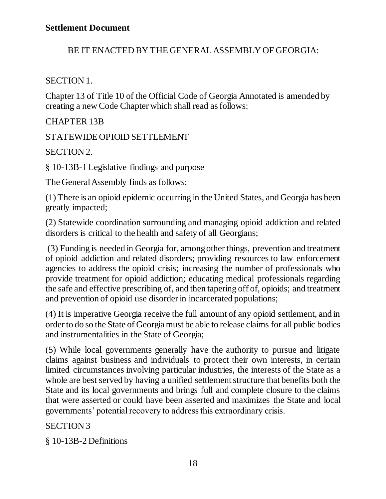# BE IT ENACTED BY THE GENERAL ASSEMBLY OF GEORGIA:

# SECTION 1.

Chapter 13 of Title 10 of the Official Code of Georgia Annotated is amended by creating a new Code Chapter which shall read as follows:

CHAPTER 13B

STATEWIDE OPIOID SETTLEMENT

SECTION 2.

§ 10-13B-1 Legislative findings and purpose

The General Assembly finds as follows:

(1) There is an opioid epidemic occurring in the United States, and Georgia has been greatly impacted;

(2) Statewide coordination surrounding and managing opioid addiction and related disorders is critical to the health and safety of all Georgians;

(3) Funding is needed in Georgia for, among other things, prevention and treatment of opioid addiction and related disorders; providing resources to law enforcement agencies to address the opioid crisis; increasing the number of professionals who provide treatment for opioid addiction; educating medical professionals regarding the safe and effective prescribing of, and then tapering off of, opioids; and treatment and prevention of opioid use disorder in incarcerated populations;

(4) It is imperative Georgia receive the full amount of any opioid settlement, and in order to do so the State of Georgia must be able to release claims for all public bodies and instrumentalities in the State of Georgia;

(5) While local governments generally have the authority to pursue and litigate claims against business and individuals to protect their own interests, in certain limited circumstances involving particular industries, the interests of the State as a whole are best served by having a unified settlement structure that benefits both the State and its local governments and brings full and complete closure to the claims that were asserted or could have been asserted and maximizes the State and local governments' potential recovery to address this extraordinary crisis.

SECTION 3

§ 10-13B-2 Definitions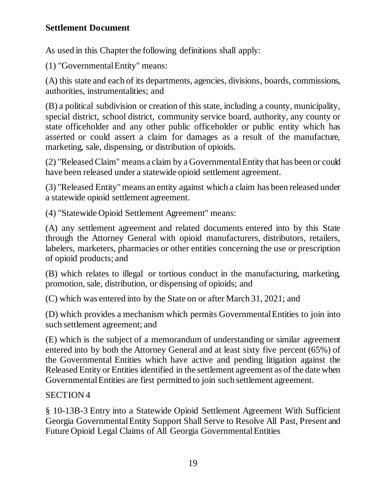As used in this Chapter the following definitions shall apply:

(1) "Governmental Entity" means:

(A) this state and each of its departments, agencies, divisions, boards, commissions, authorities, instrumentalities; and

(B) a political subdivision or creation of this state, including a county, municipality, special district, school district, community service board, authority, any county or state officeholder and any other public officeholder or public entity which has asserted or could assert a claim for damages as a result of the manufacture, marketing, sale, dispensing, or distribution of opioids.

(2) "Released Claim" means a claim by a Governmental Entity that has been or could have been released under a statewide opioid settlement agreement.

(3) "Released Entity" means an entity against which a claim has been released under a statewide opioid settlement agreement.

(4) "Statewide Opioid Settlement Agreement" means:

(A) any settlement agreement and related documents entered into by this State through the Attorney General with opioid manufacturers, distributors, retailers, labelers, marketers, pharmacies or other entities concerning the use or prescription of opioid products; and

(B) which relates to illegal or tortious conduct in the manufacturing, marketing, promotion, sale, distribution, or dispensing of opioids; and

(C) which was entered into by the State on or after March 31, 2021; and

(D) which provides a mechanism which permits Governmental Entities to join into such settlement agreement; and

(E) which is the subject of a memorandum of understanding or similar agreement entered into by both the Attorney General and at least sixty five percent (65%) of the Governmental Entities which have active and pending litigation against the Released Entity or Entities identified in the settlement agreement as of the date when Governmental Entities are first permitted to join such settlement agreement.

# SECTION 4

§ 10-13B-3 Entry into a Statewide Opioid Settlement Agreement With Sufficient Georgia Governmental Entity Support Shall Serve to Resolve All Past, Present and Future Opioid Legal Claims of All Georgia Governmental Entities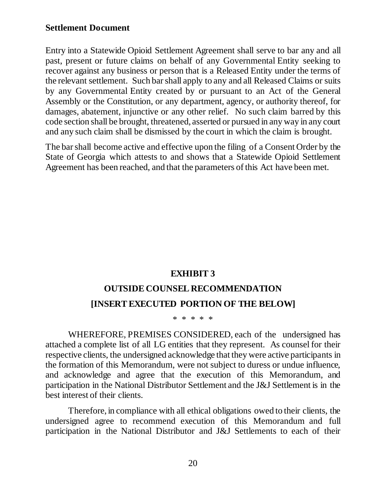Entry into a Statewide Opioid Settlement Agreement shall serve to bar any and all past, present or future claims on behalf of any Governmental Entity seeking to recover against any business or person that is a Released Entity under the terms of the relevant settlement. Such bar shall apply to any and all Released Claims or suits by any Governmental Entity created by or pursuant to an Act of the General Assembly or the Constitution, or any department, agency, or authority thereof, for damages, abatement, injunctive or any other relief. No such claim barred by this code section shall be brought, threatened, asserted or pursued in any way in any court and any such claim shall be dismissed by the court in which the claim is brought.

The bar shall become active and effective upon the filing of a Consent Order by the State of Georgia which attests to and shows that a Statewide Opioid Settlement Agreement has been reached, and that the parameters of this Act have been met.

# **EXHIBIT 3 OUTSIDE COUNSEL RECOMMENDATION [INSERT EXECUTED PORTION OF THE BELOW]**

#### \* \* \* \* \*

WHEREFORE, PREMISES CONSIDERED, each of the undersigned has attached a complete list of all LG entities that they represent. As counsel for their respective clients, the undersigned acknowledge that they were active participants in the formation of this Memorandum, were not subject to duress or undue influence, and acknowledge and agree that the execution of this Memorandum, and participation in the National Distributor Settlement and the J&J Settlement is in the best interest of their clients.

Therefore, in compliance with all ethical obligations owed to their clients, the undersigned agree to recommend execution of this Memorandum and full participation in the National Distributor and J&J Settlements to each of their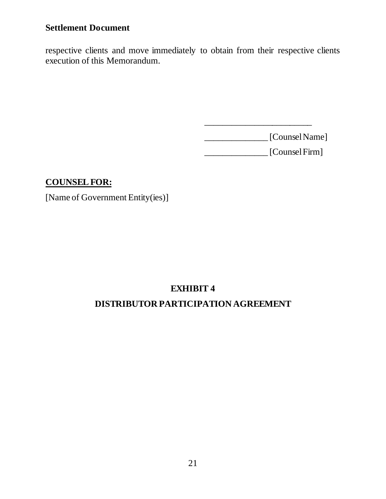respective clients and move immediately to obtain from their respective clients execution of this Memorandum.

\_\_\_\_\_\_\_\_\_\_\_\_\_\_ [Counsel Name]

\_\_\_\_\_\_\_\_\_\_\_\_\_\_\_\_\_\_\_\_\_\_\_\_

\_\_\_\_\_\_\_\_\_\_\_\_\_\_ [Counsel Firm]

# **COUNSEL FOR:**

[Name of Government Entity(ies)]

# **EXHIBIT 4**

# **DISTRIBUTOR PARTICIPATION AGREEMENT**